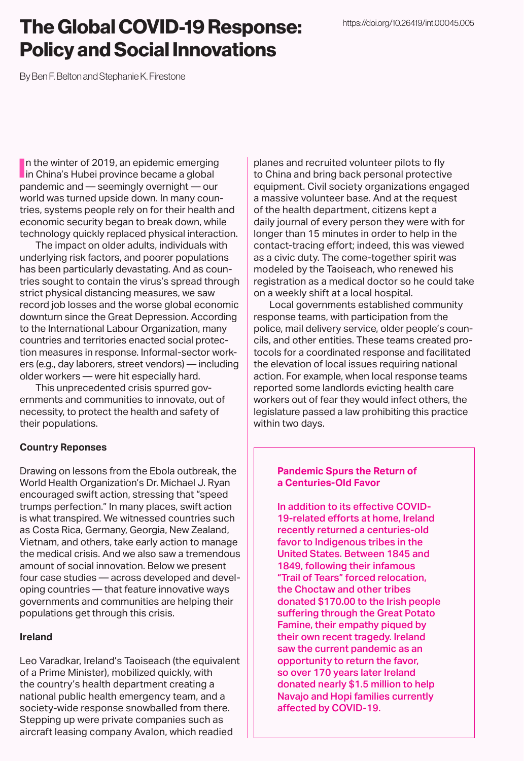# The Global COVID-19 Response: Policy and Social Innovations

By Ben F. Belton and Stephanie K. Firestone

In the winter of 2019, an epidemic emerging<br>in China's Hubei province became a global In the winter of 2019, an epidemic emerging pandemic and — seemingly overnight — our world was turned upside down. In many countries, systems people rely on for their health and economic security began to break down, while technology quickly replaced physical interaction.

The impact on older adults, individuals with underlying risk factors, and poorer populations has been particularly devastating. And as countries sought to contain the virus's spread through strict physical distancing measures, we saw record job losses and the worse global economic downturn since the Great Depression. According to the International Labour Organization, many countries and territories enacted social protection measures in response. Informal-sector workers (e.g., day laborers, street vendors) — including older workers — were hit especially hard.

This unprecedented crisis spurred governments and communities to innovate, out of necessity, to protect the health and safety of their populations.

# **Country Reponses**

Drawing on lessons from the Ebola outbreak, the World Health Organization's Dr. Michael J. Ryan encouraged swift action, stressing that "speed trumps perfection." In many places, swift action is what transpired. We witnessed countries such as Costa Rica, Germany, Georgia, New Zealand, Vietnam, and others, take early action to manage the medical crisis. And we also saw a tremendous amount of social innovation. Below we present four case studies — across developed and developing countries — that feature innovative ways governments and communities are helping their populations get through this crisis.

# **Ireland**

Leo Varadkar, Ireland's Taoiseach (the equivalent of a Prime Minister), mobilized quickly, with the country's health department creating a national public health emergency team, and a society-wide response snowballed from there. Stepping up were private companies such as aircraft leasing company Avalon, which readied

planes and recruited volunteer pilots to fly to China and bring back personal protective equipment. Civil society organizations engaged a massive volunteer base. And at the request of the health department, citizens kept a daily journal of every person they were with for longer than 15 minutes in order to help in the contact-tracing effort; indeed, this was viewed as a civic duty. The come-together spirit was modeled by the Taoiseach, who renewed his registration as a medical doctor so he could take on a weekly shift at a local hospital.

Local governments established community response teams, with participation from the police, mail delivery service, older people's councils, and other entities. These teams created protocols for a coordinated response and facilitated the elevation of local issues requiring national action. For example, when local response teams reported some landlords evicting health care workers out of fear they would infect others, the legislature passed a law prohibiting this practice within two days.

## **Pandemic Spurs the Return of a Centuries-Old Favor**

In addition to its effective COVID-19-related efforts at home, Ireland recently returned a centuries-old favor to Indigenous tribes in the United States. Between 1845 and 1849, following their infamous "Trail of Tears" forced relocation, the Choctaw and other tribes donated \$170.00 to the Irish people suffering through the Great Potato Famine, their empathy piqued by their own recent tragedy. Ireland saw the current pandemic as an opportunity to return the favor, so over 170 years later Ireland donated nearly \$1.5 million to help Navajo and Hopi families currently affected by COVID-19.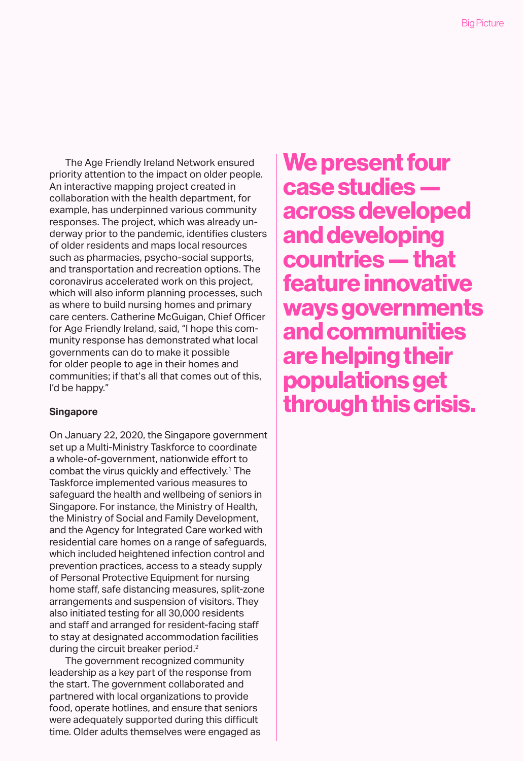The Age Friendly Ireland Network ensured priority attention to the impact on older people. An interactive mapping project created in collaboration with the health department, for example, has underpinned various community responses. The project, which was already underway prior to the pandemic, identifies clusters of older residents and maps local resources such as pharmacies, psycho-social supports, and transportation and recreation options. The coronavirus accelerated work on this project, which will also inform planning processes, such as where to build nursing homes and primary care centers. Catherine McGuigan, Chief Officer for Age Friendly Ireland, said, "I hope this community response has demonstrated what local governments can do to make it possible for older people to age in their homes and communities; if that's all that comes out of this, I'd be happy."

#### **Singapore**

On January 22, 2020, the Singapore government set up a Multi-Ministry Taskforce to coordinate a whole-of-government, nationwide effort to combat the virus quickly and effectively.1 The Taskforce implemented various measures to safeguard the health and wellbeing of seniors in Singapore. For instance, the Ministry of Health, the Ministry of Social and Family Development, and the Agency for Integrated Care worked with residential care homes on a range of safeguards, which included heightened infection control and prevention practices, access to a steady supply of Personal Protective Equipment for nursing home staff, safe distancing measures, split-zone arrangements and suspension of visitors. They also initiated testing for all 30,000 residents and staff and arranged for resident-facing staff to stay at designated accommodation facilities during the circuit breaker period.<sup>2</sup>

The government recognized community leadership as a key part of the response from the start. The government collaborated and partnered with local organizations to provide food, operate hotlines, and ensure that seniors were adequately supported during this difficult time. Older adults themselves were engaged as We present four case studies across developed and developing countries — that feature innovative ways governments and communities are helping their populations get through this crisis.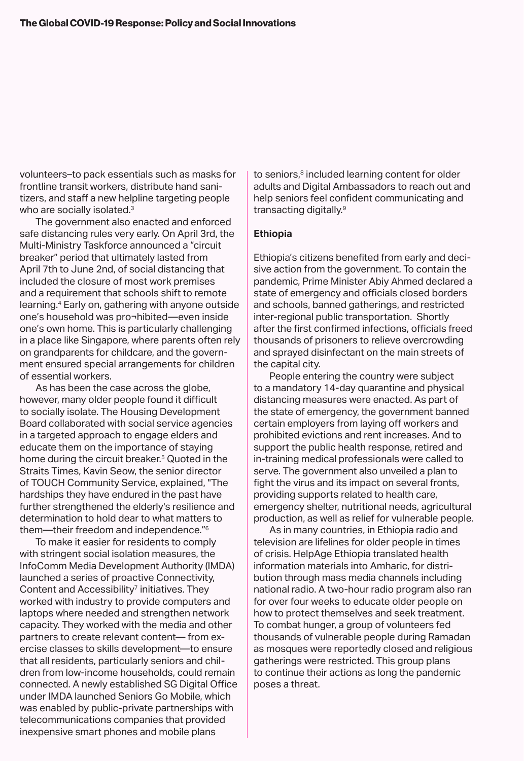volunteers–to pack essentials such as masks for frontline transit workers, distribute hand sanitizers, and staff a new helpline targeting people who are socially isolated.<sup>3</sup>

The government also enacted and enforced safe distancing rules very early. On April 3rd, the Multi-Ministry Taskforce announced a "circuit breaker" period that ultimately lasted from April 7th to June 2nd, of social distancing that included the closure of most work premises and a requirement that schools shift to remote learning.4 Early on, gathering with anyone outside one's household was pro¬hibited—even inside one's own home. This is particularly challenging in a place like Singapore, where parents often rely on grandparents for childcare, and the government ensured special arrangements for children of essential workers.

As has been the case across the globe, however, many older people found it difficult to socially isolate. The Housing Development Board collaborated with social service agencies in a targeted approach to engage elders and educate them on the importance of staying home during the circuit breaker.<sup>5</sup> Quoted in the Straits Times, Kavin Seow, the senior director of TOUCH Community Service, explained, "The hardships they have endured in the past have further strengthened the elderly's resilience and determination to hold dear to what matters to them—their freedom and independence."6

To make it easier for residents to comply with stringent social isolation measures, the InfoComm Media Development Authority (IMDA) launched a series of proactive Connectivity, Content and Accessibility<sup>7</sup> initiatives. They worked with industry to provide computers and laptops where needed and strengthen network capacity. They worked with the media and other partners to create relevant content— from exercise classes to skills development—to ensure that all residents, particularly seniors and children from low-income households, could remain connected. A newly established SG Digital Office under IMDA launched Seniors Go Mobile, which was enabled by public-private partnerships with telecommunications companies that provided inexpensive smart phones and mobile plans

to seniors,<sup>8</sup> included learning content for older adults and Digital Ambassadors to reach out and help seniors feel confident communicating and transacting digitally.9

### **Ethiopia**

Ethiopia's citizens benefited from early and decisive action from the government. To contain the pandemic, Prime Minister Abiy Ahmed declared a state of emergency and officials closed borders and schools, banned gatherings, and restricted inter-regional public transportation. Shortly after the first confirmed infections, officials freed thousands of prisoners to relieve overcrowding and sprayed disinfectant on the main streets of the capital city.

People entering the country were subject to a mandatory 14-day quarantine and physical distancing measures were enacted. As part of the state of emergency, the government banned certain employers from laying off workers and prohibited evictions and rent increases. And to support the public health response, retired and in-training medical professionals were called to serve. The government also unveiled a plan to fight the virus and its impact on several fronts, providing supports related to health care, emergency shelter, nutritional needs, agricultural production, as well as relief for vulnerable people.

As in many countries, in Ethiopia radio and television are lifelines for older people in times of crisis. HelpAge Ethiopia translated health information materials into Amharic, for distribution through mass media channels including national radio. A two-hour radio program also ran for over four weeks to educate older people on how to protect themselves and seek treatment. To combat hunger, a group of volunteers fed thousands of vulnerable people during Ramadan as mosques were reportedly closed and religious gatherings were restricted. This group plans to continue their actions as long the pandemic poses a threat.